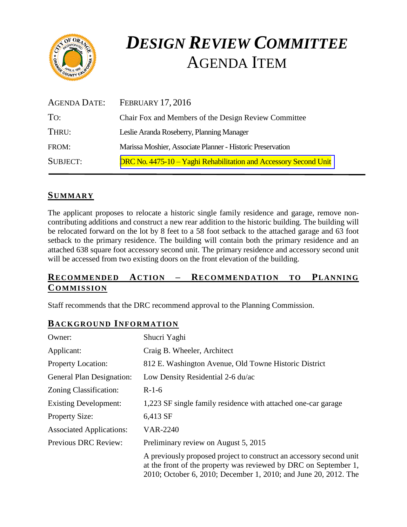

# *DESIGN REVIEW COMMITTEE*  AGENDA ITEM

| AGENDA DATE:    | <b>FEBRUARY 17, 2016</b>                                         |
|-----------------|------------------------------------------------------------------|
| TO:             | Chair Fox and Members of the Design Review Committee             |
| THRU:           | Leslie Aranda Roseberry, Planning Manager                        |
| FROM:           | Marissa Moshier, Associate Planner - Historic Preservation       |
| <b>SUBJECT:</b> | DRC No. 4475-10 – Yaghi Rehabilitation and Accessory Second Unit |

# **SUMMARY**

The applicant proposes to relocate a historic single family residence and garage, remove noncontributing additions and construct a new rear addition to the historic building. The building will be relocated forward on the lot by 8 feet to a 58 foot setback to the attached garage and 63 foot setback to the primary residence. The building will contain both the primary residence and an attached 638 square foot accessory second unit. The primary residence and accessory second unit will be accessed from two existing doors on the front elevation of the building.

# **RECOMMENDED ACTION – RECOMMENDATION TO PLANNING COMMISSION**

Staff recommends that the DRC recommend approval to the Planning Commission.

### **BACKGROUND INFORMATION**

| Owner:                           | Shucri Yaghi                                                                                                                                                                                               |
|----------------------------------|------------------------------------------------------------------------------------------------------------------------------------------------------------------------------------------------------------|
| Applicant:                       | Craig B. Wheeler, Architect                                                                                                                                                                                |
| <b>Property Location:</b>        | 812 E. Washington Avenue, Old Towne Historic District                                                                                                                                                      |
| <b>General Plan Designation:</b> | Low Density Residential 2-6 du/ac                                                                                                                                                                          |
| Zoning Classification:           | $R-1-6$                                                                                                                                                                                                    |
| <b>Existing Development:</b>     | 1,223 SF single family residence with attached one-car garage                                                                                                                                              |
| <b>Property Size:</b>            | 6,413 SF                                                                                                                                                                                                   |
| <b>Associated Applications:</b>  | <b>VAR-2240</b>                                                                                                                                                                                            |
| <b>Previous DRC Review:</b>      | Preliminary review on August 5, 2015                                                                                                                                                                       |
|                                  | A previously proposed project to construct an accessory second unit<br>at the front of the property was reviewed by DRC on September 1,<br>2010; October 6, 2010; December 1, 2010; and June 20, 2012. The |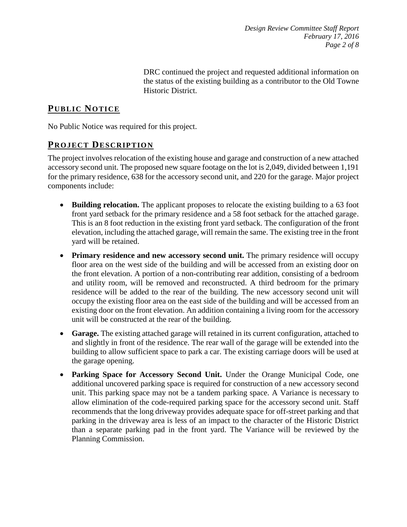*Design Review Committee Staff Report February 17, 2016 Page 2 of 8*

DRC continued the project and requested additional information on the status of the existing building as a contributor to the Old Towne Historic District.

## **PUB LIC NOTICE**

No Public Notice was required for this project.

## **PROJECT DESCRIP TION**

The project involves relocation of the existing house and garage and construction of a new attached accessory second unit. The proposed new square footage on the lot is 2,049, divided between 1,191 for the primary residence, 638 for the accessory second unit, and 220 for the garage. Major project components include:

- **Building relocation.** The applicant proposes to relocate the existing building to a 63 foot front yard setback for the primary residence and a 58 foot setback for the attached garage. This is an 8 foot reduction in the existing front yard setback. The configuration of the front elevation, including the attached garage, will remain the same. The existing tree in the front yard will be retained.
- **Primary residence and new accessory second unit.** The primary residence will occupy floor area on the west side of the building and will be accessed from an existing door on the front elevation. A portion of a non-contributing rear addition, consisting of a bedroom and utility room, will be removed and reconstructed. A third bedroom for the primary residence will be added to the rear of the building. The new accessory second unit will occupy the existing floor area on the east side of the building and will be accessed from an existing door on the front elevation. An addition containing a living room for the accessory unit will be constructed at the rear of the building.
- **Garage.** The existing attached garage will retained in its current configuration, attached to and slightly in front of the residence. The rear wall of the garage will be extended into the building to allow sufficient space to park a car. The existing carriage doors will be used at the garage opening.
- **Parking Space for Accessory Second Unit.** Under the Orange Municipal Code, one additional uncovered parking space is required for construction of a new accessory second unit. This parking space may not be a tandem parking space. A Variance is necessary to allow elimination of the code-required parking space for the accessory second unit. Staff recommends that the long driveway provides adequate space for off-street parking and that parking in the driveway area is less of an impact to the character of the Historic District than a separate parking pad in the front yard. The Variance will be reviewed by the Planning Commission.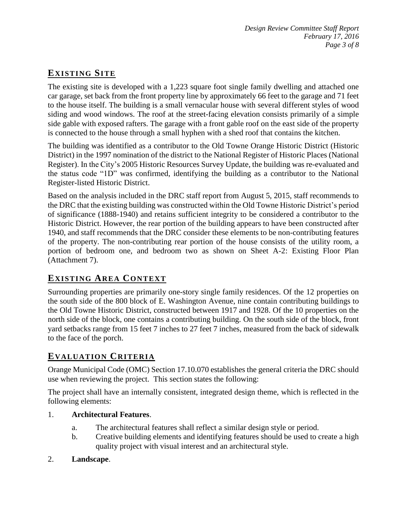# **EXISTING SITE**

The existing site is developed with a 1,223 square foot single family dwelling and attached one car garage, set back from the front property line by approximately 66 feet to the garage and 71 feet to the house itself. The building is a small vernacular house with several different styles of wood siding and wood windows. The roof at the street-facing elevation consists primarily of a simple side gable with exposed rafters. The garage with a front gable roof on the east side of the property is connected to the house through a small hyphen with a shed roof that contains the kitchen.

The building was identified as a contributor to the Old Towne Orange Historic District (Historic District) in the 1997 nomination of the district to the National Register of Historic Places (National Register). In the City's 2005 Historic Resources Survey Update, the building was re-evaluated and the status code "1D" was confirmed, identifying the building as a contributor to the National Register-listed Historic District.

Based on the analysis included in the DRC staff report from August 5, 2015, staff recommends to the DRC that the existing building was constructed within the Old Towne Historic District's period of significance (1888-1940) and retains sufficient integrity to be considered a contributor to the Historic District. However, the rear portion of the building appears to have been constructed after 1940, and staff recommends that the DRC consider these elements to be non-contributing features of the property. The non-contributing rear portion of the house consists of the utility room, a portion of bedroom one, and bedroom two as shown on Sheet A-2: Existing Floor Plan (Attachment 7).

# **EXISTING AREA CONTEXT**

Surrounding properties are primarily one-story single family residences. Of the 12 properties on the south side of the 800 block of E. Washington Avenue, nine contain contributing buildings to the Old Towne Historic District, constructed between 1917 and 1928. Of the 10 properties on the north side of the block, one contains a contributing building. On the south side of the block, front yard setbacks range from 15 feet 7 inches to 27 feet 7 inches, measured from the back of sidewalk to the face of the porch.

# **EVALUATION CRITERIA**

Orange Municipal Code (OMC) Section 17.10.070 establishes the general criteria the DRC should use when reviewing the project. This section states the following:

The project shall have an internally consistent, integrated design theme, which is reflected in the following elements:

#### 1. **Architectural Features**.

- a. The architectural features shall reflect a similar design style or period.
- b. Creative building elements and identifying features should be used to create a high quality project with visual interest and an architectural style.
- 2. **Landscape**.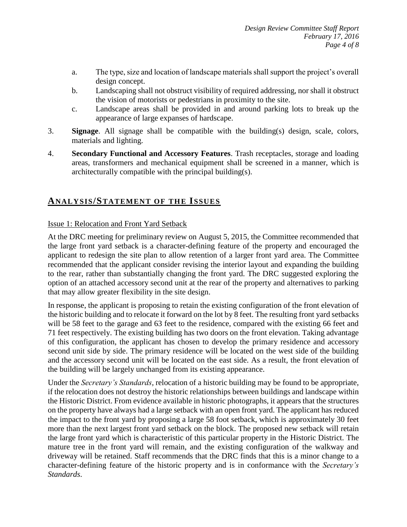- a. The type, size and location of landscape materials shall support the project's overall design concept.
- b. Landscaping shall not obstruct visibility of required addressing, nor shall it obstruct the vision of motorists or pedestrians in proximity to the site.
- c. Landscape areas shall be provided in and around parking lots to break up the appearance of large expanses of hardscape.
- 3. **Signage**. All signage shall be compatible with the building(s) design, scale, colors, materials and lighting.
- 4. **Secondary Functional and Accessory Features**. Trash receptacles, storage and loading areas, transformers and mechanical equipment shall be screened in a manner, which is architecturally compatible with the principal building(s).

## **ANALY SIS/STATEMENT OF THE ISSUES**

#### Issue 1: Relocation and Front Yard Setback

At the DRC meeting for preliminary review on August 5, 2015, the Committee recommended that the large front yard setback is a character-defining feature of the property and encouraged the applicant to redesign the site plan to allow retention of a larger front yard area. The Committee recommended that the applicant consider revising the interior layout and expanding the building to the rear, rather than substantially changing the front yard. The DRC suggested exploring the option of an attached accessory second unit at the rear of the property and alternatives to parking that may allow greater flexibility in the site design.

In response, the applicant is proposing to retain the existing configuration of the front elevation of the historic building and to relocate it forward on the lot by 8 feet. The resulting front yard setbacks will be 58 feet to the garage and 63 feet to the residence, compared with the existing 66 feet and 71 feet respectively. The existing building has two doors on the front elevation. Taking advantage of this configuration, the applicant has chosen to develop the primary residence and accessory second unit side by side. The primary residence will be located on the west side of the building and the accessory second unit will be located on the east side. As a result, the front elevation of the building will be largely unchanged from its existing appearance.

Under the *Secretary's Standards,* relocation of a historic building may be found to be appropriate, if the relocation does not destroy the historic relationships between buildings and landscape within the Historic District. From evidence available in historic photographs, it appears that the structures on the property have always had a large setback with an open front yard. The applicant has reduced the impact to the front yard by proposing a large 58 foot setback, which is approximately 30 feet more than the next largest front yard setback on the block. The proposed new setback will retain the large front yard which is characteristic of this particular property in the Historic District. The mature tree in the front yard will remain, and the existing configuration of the walkway and driveway will be retained. Staff recommends that the DRC finds that this is a minor change to a character-defining feature of the historic property and is in conformance with the *Secretary's Standards*.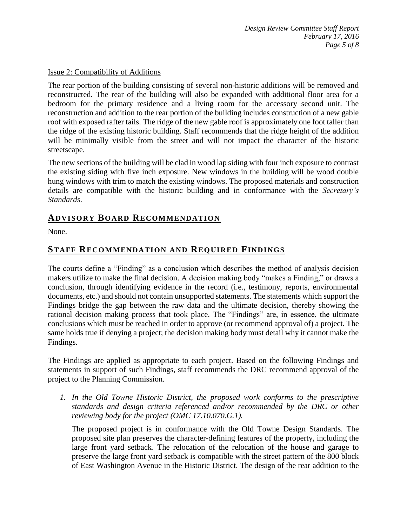#### Issue 2: Compatibility of Additions

The rear portion of the building consisting of several non-historic additions will be removed and reconstructed. The rear of the building will also be expanded with additional floor area for a bedroom for the primary residence and a living room for the accessory second unit. The reconstruction and addition to the rear portion of the building includes construction of a new gable roof with exposed rafter tails. The ridge of the new gable roof is approximately one foot taller than the ridge of the existing historic building. Staff recommends that the ridge height of the addition will be minimally visible from the street and will not impact the character of the historic streetscape.

The new sections of the building will be clad in wood lap siding with four inch exposure to contrast the existing siding with five inch exposure. New windows in the building will be wood double hung windows with trim to match the existing windows. The proposed materials and construction details are compatible with the historic building and in conformance with the *Secretary's Standards*.

# **ADVISORY BOARD RECOMMENDATION**

None.

## **STAFF RECOMMENDATION AND REQUIRED FINDINGS**

The courts define a "Finding" as a conclusion which describes the method of analysis decision makers utilize to make the final decision. A decision making body "makes a Finding," or draws a conclusion, through identifying evidence in the record (i.e., testimony, reports, environmental documents, etc.) and should not contain unsupported statements. The statements which support the Findings bridge the gap between the raw data and the ultimate decision, thereby showing the rational decision making process that took place. The "Findings" are, in essence, the ultimate conclusions which must be reached in order to approve (or recommend approval of) a project. The same holds true if denying a project; the decision making body must detail why it cannot make the Findings.

The Findings are applied as appropriate to each project. Based on the following Findings and statements in support of such Findings, staff recommends the DRC recommend approval of the project to the Planning Commission.

*1. In the Old Towne Historic District, the proposed work conforms to the prescriptive standards and design criteria referenced and/or recommended by the DRC or other reviewing body for the project (OMC 17.10.070.G.1).*

The proposed project is in conformance with the Old Towne Design Standards. The proposed site plan preserves the character-defining features of the property, including the large front yard setback. The relocation of the relocation of the house and garage to preserve the large front yard setback is compatible with the street pattern of the 800 block of East Washington Avenue in the Historic District. The design of the rear addition to the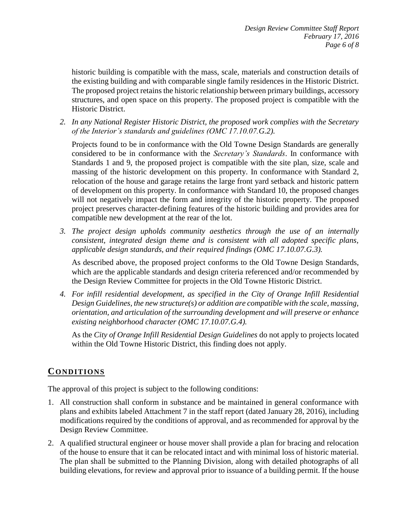historic building is compatible with the mass, scale, materials and construction details of the existing building and with comparable single family residences in the Historic District. The proposed project retains the historic relationship between primary buildings, accessory structures, and open space on this property. The proposed project is compatible with the Historic District.

*2. In any National Register Historic District, the proposed work complies with the Secretary of the Interior's standards and guidelines (OMC 17.10.07.G.2).*

Projects found to be in conformance with the Old Towne Design Standards are generally considered to be in conformance with the *Secretary's Standards*. In conformance with Standards 1 and 9, the proposed project is compatible with the site plan, size, scale and massing of the historic development on this property. In conformance with Standard 2, relocation of the house and garage retains the large front yard setback and historic pattern of development on this property. In conformance with Standard 10, the proposed changes will not negatively impact the form and integrity of the historic property. The proposed project preserves character-defining features of the historic building and provides area for compatible new development at the rear of the lot.

*3. The project design upholds community aesthetics through the use of an internally consistent, integrated design theme and is consistent with all adopted specific plans, applicable design standards, and their required findings (OMC 17.10.07.G.3).*

As described above, the proposed project conforms to the Old Towne Design Standards, which are the applicable standards and design criteria referenced and/or recommended by the Design Review Committee for projects in the Old Towne Historic District.

*4. For infill residential development, as specified in the City of Orange Infill Residential Design Guidelines, the new structure(s) or addition are compatible with the scale, massing, orientation, and articulation of the surrounding development and will preserve or enhance existing neighborhood character (OMC 17.10.07.G.4).*

As the *City of Orange Infill Residential Design Guidelines* do not apply to projects located within the Old Towne Historic District, this finding does not apply.

# **CONDITIONS**

The approval of this project is subject to the following conditions:

- 1. All construction shall conform in substance and be maintained in general conformance with plans and exhibits labeled Attachment 7 in the staff report (dated January 28, 2016), including modifications required by the conditions of approval, and as recommended for approval by the Design Review Committee.
- 2. A qualified structural engineer or house mover shall provide a plan for bracing and relocation of the house to ensure that it can be relocated intact and with minimal loss of historic material. The plan shall be submitted to the Planning Division, along with detailed photographs of all building elevations, for review and approval prior to issuance of a building permit. If the house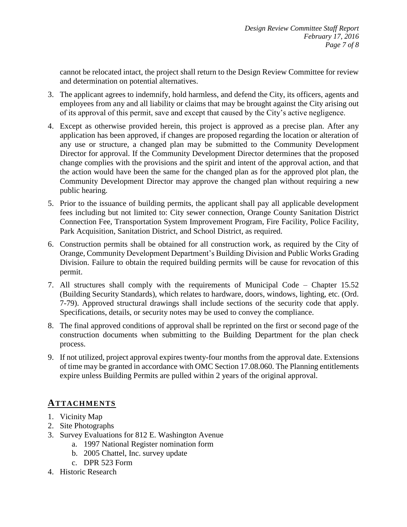cannot be relocated intact, the project shall return to the Design Review Committee for review and determination on potential alternatives.

- 3. The applicant agrees to indemnify, hold harmless, and defend the City, its officers, agents and employees from any and all liability or claims that may be brought against the City arising out of its approval of this permit, save and except that caused by the City's active negligence.
- 4. Except as otherwise provided herein, this project is approved as a precise plan. After any application has been approved, if changes are proposed regarding the location or alteration of any use or structure, a changed plan may be submitted to the Community Development Director for approval. If the Community Development Director determines that the proposed change complies with the provisions and the spirit and intent of the approval action, and that the action would have been the same for the changed plan as for the approved plot plan, the Community Development Director may approve the changed plan without requiring a new public hearing.
- 5. Prior to the issuance of building permits, the applicant shall pay all applicable development fees including but not limited to: City sewer connection, Orange County Sanitation District Connection Fee, Transportation System Improvement Program, Fire Facility, Police Facility, Park Acquisition, Sanitation District, and School District, as required.
- 6. Construction permits shall be obtained for all construction work, as required by the City of Orange, Community Development Department's Building Division and Public Works Grading Division. Failure to obtain the required building permits will be cause for revocation of this permit.
- 7. All structures shall comply with the requirements of Municipal Code Chapter 15.52 (Building Security Standards), which relates to hardware, doors, windows, lighting, etc. (Ord. 7-79). Approved structural drawings shall include sections of the security code that apply. Specifications, details, or security notes may be used to convey the compliance.
- 8. The final approved conditions of approval shall be reprinted on the first or second page of the construction documents when submitting to the Building Department for the plan check process.
- 9. If not utilized, project approval expires twenty-four months from the approval date. Extensions of time may be granted in accordance with OMC Section 17.08.060. The Planning entitlements expire unless Building Permits are pulled within 2 years of the original approval.

## **ATTACHMENTS**

- 1. Vicinity Map
- 2. Site Photographs
- 3. Survey Evaluations for 812 E. Washington Avenue
	- a. 1997 National Register nomination form
	- b. 2005 Chattel, Inc. survey update
	- c. DPR 523 Form
- 4. Historic Research